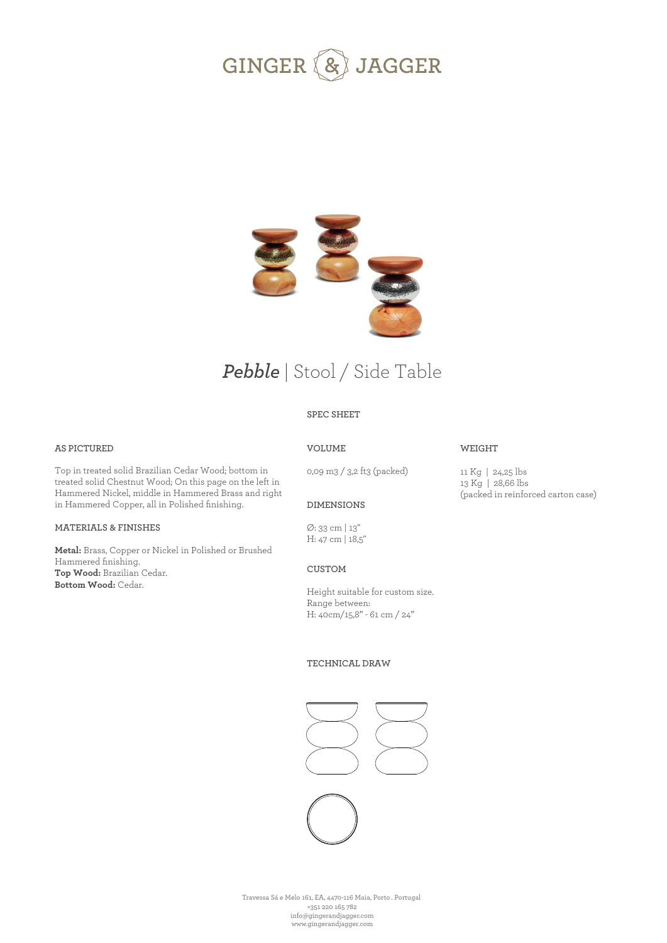



# *Pebble* | Stool / Side Table

# **SPEC SHEET**

## **AS PICTURED**

Top in treated solid Brazilian Cedar Wood; bottom in treated solid Chestnut Wood; On this page on the left in Hammered Nickel, middle in Hammered Brass and right in Hammered Copper, all in Polished finishing.

#### **MATERIALS & FINISHES**

**Metal:** Brass, Copper or Nickel in Polished or Brushed Hammered finishing. **Top Wood:** Brazilian Cedar. **Bottom Wood:** Cedar.

# **VOLUME**

0,09 m3 / 3,2 ft3 (packed)

11 Kg | 24,25 lbs 13 Kg | 28,66 lbs (packed in reinforced carton case)

**WEIGHT** 

#### **DIMENSIONS**

Ø: 33 cm | 13'' H: 47 cm | 18,5''

**CUSTOM** 

Height suitable for custom size. Range between: H: 40cm/15,8" - 61 cm / 24"

#### **TECHNICAL DRAW**